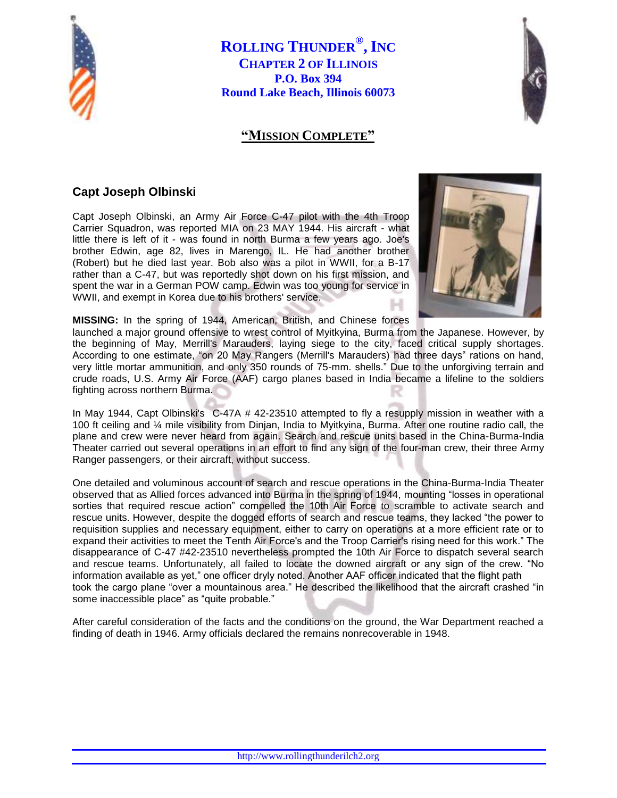

**ROLLING THUNDER® , INC CHAPTER 2 OF ILLINOIS P.O. Box 394 Round Lake Beach, Illinois 60073**

## **"MISSION COMPLETE"**



## **Capt Joseph Olbinski**

Capt Joseph Olbinski, an Army Air Force C-47 pilot with the 4th Troop Carrier Squadron, was reported MIA on 23 MAY 1944. His aircraft - what little there is left of it - was found in north Burma a few years ago. Joe's brother Edwin, age 82, lives in Marengo, IL. He had another brother (Robert) but he died last year. Bob also was a pilot in WWII, for a B-17 rather than a C-47, but was reportedly shot down on his first mission, and spent the war in a German POW camp. Edwin was too young for service in WWII, and exempt in Korea due to his brothers' service.



**MISSING:** In the spring of 1944, American, British, and Chinese forces

launched a major ground offensive to wrest control of Myitkyina, Burma from the Japanese. However, by the beginning of May, Merrill's Marauders, laying siege to the city, faced critical supply shortages. According to one estimate, "on 20 May Rangers (Merrill's Marauders) had three days" rations on hand, very little mortar ammunition, and only 350 rounds of 75-mm. shells." Due to the unforgiving terrain and crude roads, U.S. Army Air Force (AAF) cargo planes based in India became a lifeline to the soldiers fighting across northern Burma.

In May 1944, Capt Olbinski's C-47A # 42-23510 attempted to fly a resupply mission in weather with a 100 ft ceiling and ¼ mile visibility from Dinjan, India to Myitkyina, Burma. After one routine radio call, the plane and crew were never heard from again. Search and rescue units based in the China-Burma-India Theater carried out several operations in an effort to find any sign of the four-man crew, their three Army Ranger passengers, or their aircraft, without success.

One detailed and voluminous account of search and rescue operations in the China-Burma-India Theater observed that as Allied forces advanced into Burma in the spring of 1944, mounting "losses in operational sorties that required rescue action" compelled the 10th Air Force to scramble to activate search and rescue units. However, despite the dogged efforts of search and rescue teams, they lacked "the power to requisition supplies and necessary equipment, either to carry on operations at a more efficient rate or to expand their activities to meet the Tenth Air Force's and the Troop Carrier's rising need for this work." The disappearance of C-47 #42-23510 nevertheless prompted the 10th Air Force to dispatch several search and rescue teams. Unfortunately, all failed to locate the downed aircraft or any sign of the crew. "No information available as yet," one officer dryly noted. Another AAF officer indicated that the flight path took the cargo plane "over a mountainous area." He described the likelihood that the aircraft crashed "in some inaccessible place" as "quite probable."

After careful consideration of the facts and the conditions on the ground, the War Department reached a finding of death in 1946. Army officials declared the remains nonrecoverable in 1948.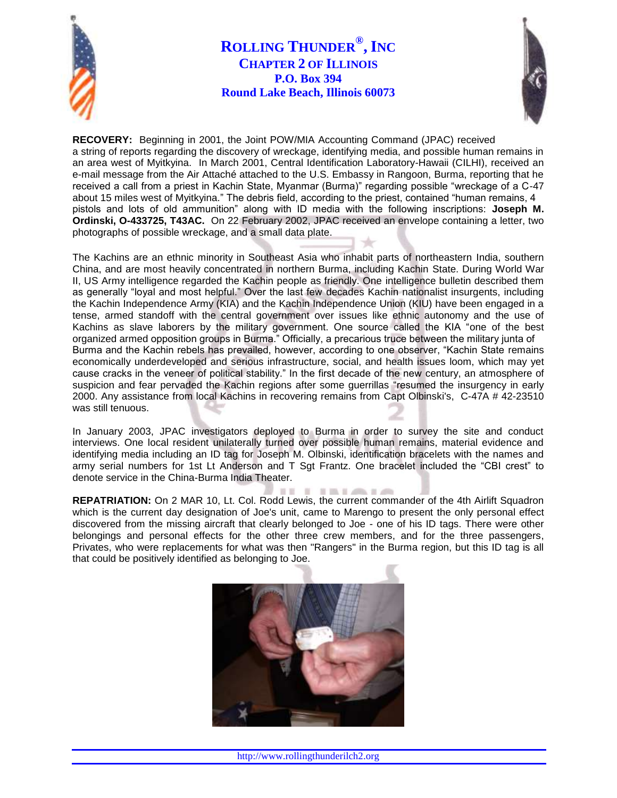

## **ROLLING THUNDER® , INC CHAPTER 2 OF ILLINOIS P.O. Box 394 Round Lake Beach, Illinois 60073**



**RECOVERY:** Beginning in 2001, the Joint POW/MIA Accounting Command (JPAC) received a string of reports regarding the discovery of wreckage, identifying media, and possible human remains in an area west of Myitkyina. In March 2001, Central Identification Laboratory-Hawaii (CILHI), received an e-mail message from the Air Attaché attached to the U.S. Embassy in Rangoon, Burma, reporting that he received a call from a priest in Kachin State, Myanmar (Burma)" regarding possible "wreckage of a C-47 about 15 miles west of Myitkyina." The debris field, according to the priest, contained "human remains, 4 pistols and lots of old ammunition" along with ID media with the following inscriptions: **Joseph M. Ordinski, O-433725, T43AC.** On 22 February 2002, JPAC received an envelope containing a letter, two photographs of possible wreckage, and a small data plate.

The Kachins are an ethnic minority in Southeast Asia who inhabit parts of northeastern India, southern China, and are most heavily concentrated in northern Burma, including Kachin State. During World War II, US Army intelligence regarded the Kachin people as friendly. One intelligence bulletin described them as generally "loyal and most helpful." Over the last few decades Kachin nationalist insurgents, including the Kachin Independence Army (KIA) and the Kachin Independence Union (KIU) have been engaged in a tense, armed standoff with the central government over issues like ethnic autonomy and the use of Kachins as slave laborers by the military government. One source called the KIA "one of the best organized armed opposition groups in Burma." Officially, a precarious truce between the military junta of Burma and the Kachin rebels has prevailed, however, according to one observer, "Kachin State remains economically underdeveloped and serious infrastructure, social, and health issues loom, which may yet cause cracks in the veneer of political stability." In the first decade of the new century, an atmosphere of suspicion and fear pervaded the Kachin regions after some guerrillas "resumed the insurgency in early 2000. Any assistance from local Kachins in recovering remains from Capt Olbinski's, C-47A # 42-23510 was still tenuous.

In January 2003, JPAC investigators deployed to Burma in order to survey the site and conduct interviews. One local resident unilaterally turned over possible human remains, material evidence and identifying media including an ID tag for Joseph M. Olbinski, identification bracelets with the names and army serial numbers for 1st Lt Anderson and T Sgt Frantz. One bracelet included the "CBI crest" to denote service in the China-Burma India Theater.

*IT EXEMPLE* **REPATRIATION:** On 2 MAR 10, Lt. Col. Rodd Lewis, the current commander of the 4th Airlift Squadron which is the current day designation of Joe's unit, came to Marengo to present the only personal effect discovered from the missing aircraft that clearly belonged to Joe - one of his ID tags. There were other belongings and personal effects for the other three crew members, and for the three passengers, Privates, who were replacements for what was then "Rangers" in the Burma region, but this ID tag is all that could be positively identified as belonging to Joe.